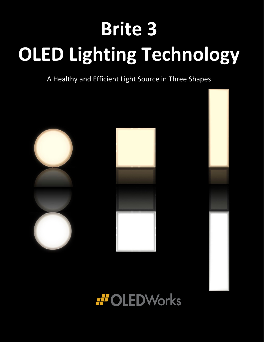# **Brite 3 OLED Lighting Technology**

A Healthy and Efficient Light Source in Three Shapes



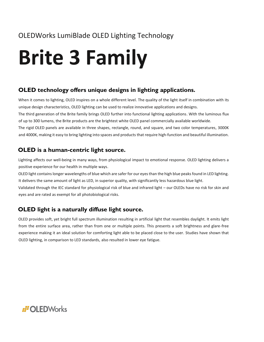## OLEDWorks LumiBlade OLED Lighting Technology

# **Brite 3 Family**

### **OLED technology offers unique designs in lighting applications.**

When it comes to lighting, OLED inspires on a whole different level. The quality of the light itself in combination with its unique design characteristics, OLED lighting can be used to realize innovative applications and designs. The third generation of the Brite family brings OLED further into functional lighting applications. With the luminous flux of up to 300 lumens, the Brite products are the brightest white OLED panel commercially available worldwide. The rigid OLED panels are available in three shapes, rectangle, round, and square, and two color temperatures, 3000K and 4000K, making it easy to bring lighting into spaces and products that require high-function and beautiful illumination.

### **OLED is a human-centric light source.**

Lighting affects our well-being in many ways, from physiological impact to emotional response. OLED lighting delivers a positive experience for our health in multiple ways.

OLED light contains longer wavelengths of blue which are safer for our eyes than the high blue peaks found in LED lighting. It delivers the same amount of light as LED, in superior quality, with significantly less hazardous blue light.

Validated through the IEC standard for physiological risk of blue and infrared light – our OLEDs have no risk for skin and eyes and are rated as exempt for all photobiological risks.

### **OLED light is a naturally diffuse light source.**

OLED provides soft, yet bright full spectrum illumination resulting in artificial light that resembles daylight. It emits light from the entire surface area, rather than from one or multiple points. This presents a soft brightness and glare-free experience making it an ideal solution for comforting light able to be placed close to the user. Studies have shown that OLED lighting, in comparison to LED standards, also resulted in lower eye fatigue.

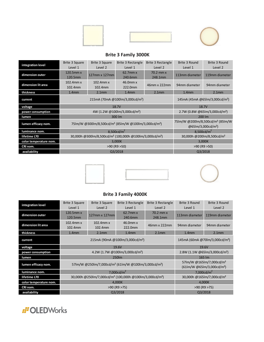

#### **Brite 3 Family 3000K**

| integration level      | Brite 3 Square<br>Level 1 | <b>Brite 3 Square</b><br>Level 2                                                | Brite 3 Rectangle<br>Level 1                                                      | Brite 3 Rectangle<br>Level 2 | Brite 3 Round<br>Level 1 | Brite 3 Round<br>Level 2 |
|------------------------|---------------------------|---------------------------------------------------------------------------------|-----------------------------------------------------------------------------------|------------------------------|--------------------------|--------------------------|
| dimension outer        | 120.5mm x<br>120.5mm      | 127mm x 127mm                                                                   | 62.7mm x<br>240.6mm                                                               | 70.2 mm x<br>248.1mm         | 113mm diameter           | 119mm diameter           |
| dimension lit area     | 102.4mm x<br>102.4mm      | $102.4$ mm $x$<br>102.4mm                                                       | 46.0mm x<br>222.0mm                                                               | 46mm x 222mm                 | 94mm diameter            | 94mm diameter            |
| thickness              | 1.4 <sub>mm</sub>         | 2.1 <sub>mm</sub>                                                               | 1.4 <sub>mm</sub>                                                                 | 2.1 <sub>mm</sub>            | 1.4 <sub>mm</sub>        | 2.1 <sub>mm</sub>        |
| current                |                           | 215mA (70mA @100lm/3,000cd/m <sup>2</sup> )                                     | 145mA (45mA @65lm/3,000cd/m <sup>2</sup> )                                        |                              |                          |                          |
| voltage                |                           | 18.7V                                                                           | 18.7V                                                                             |                              |                          |                          |
| power consumption      |                           | 4W (1.2W @100lm/3,000cd/m <sup>2</sup> )                                        | 2.7W (0.8W @65lm/3,000cd/m <sup>2</sup> )                                         |                              |                          |                          |
| lumen                  |                           | 300 lm                                                                          | 200 lm                                                                            |                              |                          |                          |
| lumen efficacy nom.    |                           | 75Im/W @300Im/8,500cd/m <sup>2</sup> (85Im/W @100Im/3,000cd/m <sup>2</sup> )    | 75lm/W @200lm/8,500cd/m <sup>2</sup> (85lm/W<br>$@65$ lm/3,000cd/m <sup>2</sup> ) |                              |                          |                          |
| luminance nom.         |                           | 8,500 $cd/m2$                                                                   | 8,500 $cd/m^2$                                                                    |                              |                          |                          |
| lifetime L70           |                           | 30,000h @300lm/8,500cd/m <sup>2</sup> (100,000h @100lm/3,000cd/m <sup>2</sup> ) | 30,000h @200lm/8,500cd/m <sup>2</sup>                                             |                              |                          |                          |
| color temperature nom. |                           | 3,000K                                                                          | 3,000K                                                                            |                              |                          |                          |
| CRI nom.               |                           | $>90$ (R9 $>50$ )                                                               | $>90$ (R9 $>50$ )                                                                 |                              |                          |                          |
| availability           | Q3/2018                   |                                                                                 |                                                                                   |                              | Q3/2018                  |                          |





#### **Brite 3 Family 4000K**

| integration level      | Brite 3 Square<br>Level 1 | Brite 3 Square<br>Level 2                                                       | <b>Brite 3 Rectangle</b><br>Level 1                                                            | <b>Brite 3 Rectangle</b><br>Level 2 | Brite 3 Round<br>Level 1 | Brite 3 Round<br>Level 2 |
|------------------------|---------------------------|---------------------------------------------------------------------------------|------------------------------------------------------------------------------------------------|-------------------------------------|--------------------------|--------------------------|
| dimension outer        | $120.5$ mm $x$<br>120.5mm | $127$ mm x $127$ mm                                                             | $62.7$ mm $x$<br>240.6mm                                                                       | 70.2 mm x<br>248.1mm                | 113mm diameter           | 119mm diameter           |
| dimension lit area     | 102.4mm x<br>102.4mm      | 102.4mm x<br>102.4mm                                                            | 46.0mm x<br>222.0mm                                                                            | 46mm x 222mm                        | 94mm diameter            | 94mm diameter            |
| thickness              | 1.4 <sub>mm</sub>         | 2.1 <sub>mm</sub>                                                               | 1.4 <sub>mm</sub>                                                                              | 2.1 <sub>mm</sub>                   | 1.4 <sub>mm</sub>        | 2.1 <sub>mm</sub>        |
| current                |                           | 215mA (90mA @100lm/3,000cd/m <sup>2</sup> )                                     | 145mA (60mA @70lm/3,000cd/m <sup>2</sup> )                                                     |                                     |                          |                          |
| voltage                |                           | 19.6V                                                                           | 19.6V                                                                                          |                                     |                          |                          |
| power consumption      |                           | 4.2W (1.7W @100lm/3,000cd/m <sup>2</sup> )                                      | 2.8W (1.1W @65lm/3,000cd/m <sup>2</sup> )                                                      |                                     |                          |                          |
| lumen                  |                           | 250lm                                                                           | $165 \, \text{Im}$                                                                             |                                     |                          |                          |
| lumen efficacy nom.    |                           | 57lm/W @250lm/7,000cd/m <sup>2</sup> (61lm/W @100lm/3,000cd/m <sup>2</sup> )    | 57lm/W @165lm/7,000cd/m <sup>2</sup><br>$(61 \text{lm/W} \ @65 \text{lm}/3,000 \text{cd/m}^2)$ |                                     |                          |                          |
| luminance nom.         |                           | 7,000cd/ $m^2$                                                                  | 7,000cd/ $m2$                                                                                  |                                     |                          |                          |
| lifetime L70           |                           | 30,000h @250lm/7,000cd/m <sup>2</sup> (100,000h @100lm/3,000cd/m <sup>2</sup> ) | 30,000h @165lm/7,000cd/m <sup>2</sup>                                                          |                                     |                          |                          |
| color temperature nom. | 4,000K                    |                                                                                 |                                                                                                |                                     | 4,000K                   |                          |
| CRI nom.               | $>90$ (R9 $>75$ )         |                                                                                 |                                                                                                |                                     | $>90$ (R9 $>75$ )        |                          |
| availability           | Q3/2018                   |                                                                                 |                                                                                                | Q3/2018                             |                          |                          |